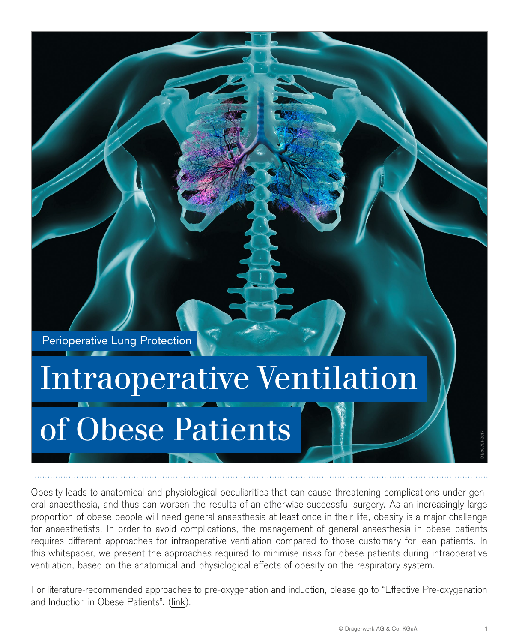Perioperative Lung Protection

# Intraoperative Ventilation of Obese Patients

Obesity leads to anatomical and physiological peculiarities that can cause threatening complications under general anaesthesia, and thus can worsen the results of an otherwise successful surgery. As an increasingly large proportion of obese people will need general anaesthesia at least once in their life, obesity is a major challenge for anaesthetists. In order to avoid complications, the management of general anaesthesia in obese patients requires different approaches for intraoperative ventilation compared to those customary for lean patients. In this whitepaper, we present the approaches required to minimise risks for obese patients during intraoperative ventilation, based on the anatomical and physiological effects of obesity on the respiratory system.

For literature-recommended approaches to pre-oxygenation and induction, please go to "Effective Pre-oxygenation and Induction in Obese Patients". ([link](https://www.draeger.com/Library/Content/obese-patients-lt-9101955-en_170530.pdf)).

INTRAOPERATIVE VENTILATION OF OBESE PATIENTS

DL-30751-2017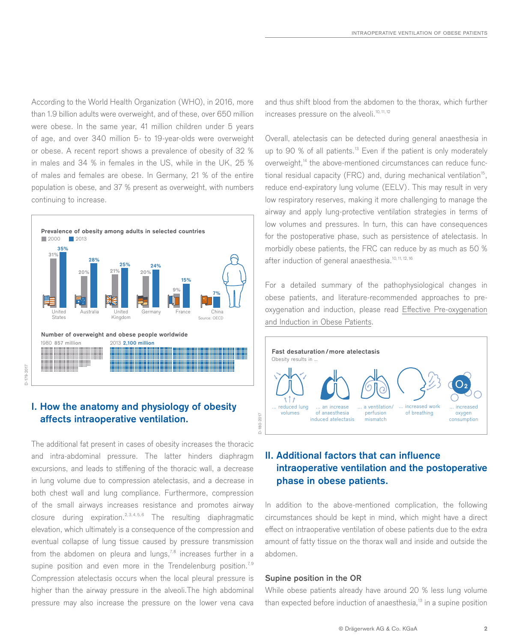According to the World Health Organization (WHO), in 2016, more than 1.9 billion adults were overweight, and of these, over 650 million were obese. In the same year, 41 million children under 5 years of age, and over 340 million 5- to 19-year-olds were overweight or obese. A recent report shows a prevalence of obesity of 32 % in males and 34 % in females in the US, while in the UK, 25 % of males and females are obese. In Germany, 21 % of the entire population is obese, and 37 % present as overweight, with numbers continuing to increase.



# **I. How the anatomy and physiology of obesity affects intraoperative ventilation.**

The additional fat present in cases of obesity increases the thoracic and intra-abdominal pressure. The latter hinders diaphragm excursions, and leads to stiffening of the thoracic wall, a decrease in lung volume due to compression atelectasis, and a decrease in both chest wall and lung compliance. Furthermore, compression of the small airways increases resistance and promotes airway closure during expiration.2, 3, 4, 5, 6 The resulting diaphragmatic elevation, which ultimately is a consequence of the compression and eventual collapse of lung tissue caused by pressure transmission from the abdomen on pleura and lungs,<sup>7,8</sup> increases further in a supine position and even more in the Trendelenburg position.<sup>7,9</sup> Compression atelectasis occurs when the local pleural pressure is higher than the airway pressure in the alveoli.The high abdominal pressure may also increase the pressure on the lower vena cava

and thus shift blood from the abdomen to the thorax, which further increases pressure on the alveoli.<sup>10, 11, 12</sup>

Overall, atelectasis can be detected during general anaesthesia in up to 90 % of all patients.<sup>13</sup> Even if the patient is only moderately overweight,<sup>14</sup> the above-mentioned circumstances can reduce functional residual capacity (FRC) and, during mechanical ventilation<sup>15</sup>, reduce end-expiratory lung volume (EELV). This may result in very low respiratory reserves, making it more challenging to manage the airway and apply lung-protective ventilation strategies in terms of low volumes and pressures. In turn, this can have consequences for the postoperative phase, such as persistence of atelectasis. In morbidly obese patients, the FRC can reduce by as much as 50 % after induction of general anaesthesia.<sup>10, 11, 12, 16</sup>

For a detailed summary of the pathophysiological changes in obese patients, and literature-recommended approaches to preoxygenation and induction, please read [Effective Pre-oxygenation](https://www.draeger.com/Library/Content/obese-patients-lt-9101955-en_170530.pdf) [and Induction in Obese Patients](https://www.draeger.com/Library/Content/obese-patients-lt-9101955-en_170530.pdf).



# **II. Additional factors that can influence intraoperative ventilation and the postoperative phase in obese patients.**

In addition to the above-mentioned complication, the following circumstances should be kept in mind, which might have a direct effect on intraoperative ventilation of obese patients due to the extra amount of fatty tissue on the thorax wall and inside and outside the abdomen.

#### **Supine position in the OR**

D-180-2017

While obese patients already have around 20 % less lung volume than expected before induction of anaesthesia,<sup>13</sup> in a supine position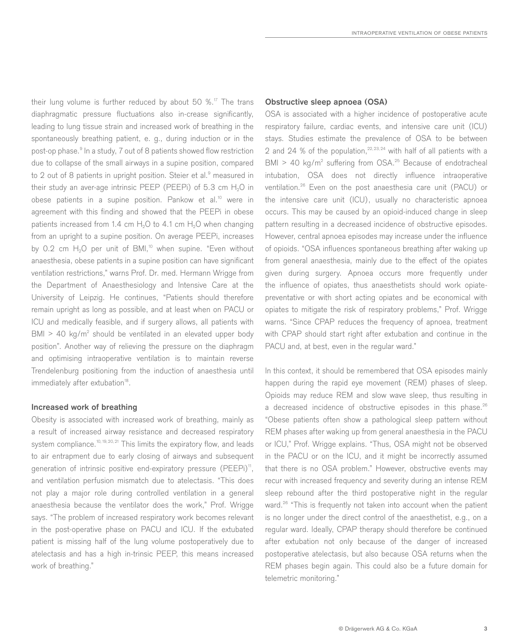their lung volume is further reduced by about 50  $\%$ .<sup>17</sup> The trans diaphragmatic pressure fluctuations also in-crease significantly, leading to lung tissue strain and increased work of breathing in the spontaneously breathing patient, e. g., during induction or in the post-op phase.<sup>9</sup> In a study, 7 out of 8 patients showed flow restriction due to collapse of the small airways in a supine position, compared to 2 out of 8 patients in upright position. Steier et al.<sup>9</sup> measured in their study an aver-age intrinsic PEEP (PEEPi) of  $5.3 \text{ cm H}_2\text{O}$  in obese patients in a supine position. Pankow et al.<sup>10</sup> were in agreement with this finding and showed that the PEEPi in obese patients increased from 1.4 cm  $H_2O$  to 4.1 cm  $H_2O$  when changing from an upright to a supine position. On average PEEPi, increases by 0.2 cm  $H_2O$  per unit of BMI,<sup>10</sup> when supine. "Even without anaesthesia, obese patients in a supine position can have significant ventilation restrictions," warns Prof. Dr. med. Hermann Wrigge from the Department of Anaesthesiology and Intensive Care at the University of Leipzig. He continues, "Patients should therefore remain upright as long as possible, and at least when on PACU or ICU and medically feasible, and if surgery allows, all patients with  $BMI > 40$  kg/m<sup>2</sup> should be ventilated in an elevated upper body position". Another way of relieving the pressure on the diaphragm and optimising intraoperative ventilation is to maintain reverse Trendelenburg positioning from the induction of anaesthesia until immediately after extubation<sup>18</sup>.

#### **Increased work of breathing**

Obesity is associated with increased work of breathing, mainly as a result of increased airway resistance and decreased respiratory system compliance.<sup>10,19,20,21</sup> This limits the expiratory flow, and leads to air entrapment due to early closing of airways and subsequent generation of intrinsic positive end-expiratory pressure (PEEPi)<sup>11</sup>, and ventilation perfusion mismatch due to atelectasis. "This does not play a major role during controlled ventilation in a general anaesthesia because the ventilator does the work," Prof. Wrigge says. "The problem of increased respiratory work becomes relevant in the post-operative phase on PACU and ICU. If the extubated patient is missing half of the lung volume postoperatively due to atelectasis and has a high in-trinsic PEEP, this means increased work of breathing."

#### **Obstructive sleep apnoea (OSA)**

OSA is associated with a higher incidence of postoperative acute respiratory failure, cardiac events, and intensive care unit (ICU) stays. Studies estimate the prevalence of OSA to be between 2 and 24 % of the population,<sup>22,23,24</sup> with half of all patients with a  $BMI > 40$  kg/m<sup>2</sup> suffering from OSA.<sup>25</sup> Because of endotracheal intubation, OSA does not directly influence intraoperative ventilation.26 Even on the post anaesthesia care unit (PACU) or the intensive care unit (ICU), usually no characteristic apnoea occurs. This may be caused by an opioid-induced change in sleep pattern resulting in a decreased incidence of obstructive episodes. However, central apnoea episodes may increase under the influence of opioids. "OSA influences spontaneous breathing after waking up from general anaesthesia, mainly due to the effect of the opiates given during surgery. Apnoea occurs more frequently under the influence of opiates, thus anaesthetists should work opiatepreventative or with short acting opiates and be economical with opiates to mitigate the risk of respiratory problems," Prof. Wrigge warns. "Since CPAP reduces the frequency of apnoea, treatment with CPAP should start right after extubation and continue in the PACU and, at best, even in the regular ward."

In this context, it should be remembered that OSA episodes mainly happen during the rapid eye movement (REM) phases of sleep. Opioids may reduce REM and slow wave sleep, thus resulting in a decreased incidence of obstructive episodes in this phase.<sup>26</sup> "Obese patients often show a pathological sleep pattern without REM phases after waking up from general anaesthesia in the PACU or ICU," Prof. Wrigge explains. "Thus, OSA might not be observed in the PACU or on the ICU, and it might be incorrectly assumed that there is no OSA problem." However, obstructive events may recur with increased frequency and severity during an intense REM sleep rebound after the third postoperative night in the regular ward.<sup>26</sup> "This is frequently not taken into account when the patient is no longer under the direct control of the anaesthetist, e.g., on a regular ward. Ideally, CPAP therapy should therefore be continued after extubation not only because of the danger of increased postoperative atelectasis, but also because OSA returns when the REM phases begin again. This could also be a future domain for telemetric monitoring."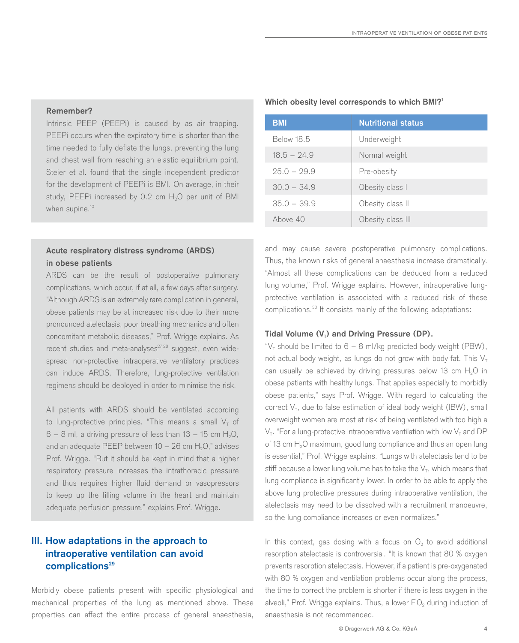#### **Remember?**

Intrinsic PEEP (PEEPi) is caused by as air trapping. PEEPi occurs when the expiratory time is shorter than the time needed to fully deflate the lungs, preventing the lung and chest wall from reaching an elastic equilibrium point. Steier et al. found that the single independent predictor for the development of PEEPi is BMI. On average, in their study, PEEPi increased by 0.2 cm  $H_2O$  per unit of BMI when supine.<sup>10</sup>

## **Acute respiratory distress syndrome (ARDS) in obese patients**

ARDS can be the result of postoperative pulmonary complications, which occur, if at all, a few days after surgery. "Although ARDS is an extremely rare complication in general, obese patients may be at increased risk due to their more pronounced atelectasis, poor breathing mechanics and often concomitant metabolic diseases," Prof. Wrigge explains. As recent studies and meta-analyses $27,28$  suggest, even widespread non-protective intraoperative ventilatory practices can induce ARDS. Therefore, lung-protective ventilation regimens should be deployed in order to minimise the risk.

All patients with ARDS should be ventilated according to lung-protective principles. "This means a small  $V<sub>T</sub>$  of  $6 - 8$  ml, a driving pressure of less than  $13 - 15$  cm H<sub>2</sub>O, and an adequate PEEP between  $10 - 26$  cm  $H<sub>2</sub>O$ ," advises Prof. Wrigge. "But it should be kept in mind that a higher respiratory pressure increases the intrathoracic pressure and thus requires higher fluid demand or vasopressors to keep up the filling volume in the heart and maintain adequate perfusion pressure," explains Prof. Wrigge.

# **III. How adaptations in the approach to intraoperative ventilation can avoid**  complications<sup>29</sup>

Morbidly obese patients present with specific physiological and mechanical properties of the lung as mentioned above. These properties can affect the entire process of general anaesthesia,

#### **Which obesity level corresponds to which BMI?1**

| <b>BMI</b>    | <b>Nutritional status</b> |
|---------------|---------------------------|
| Below 18.5    | Underweight               |
| $18.5 - 24.9$ | Normal weight             |
| $25.0 - 29.9$ | Pre-obesity               |
| $30.0 - 34.9$ | Obesity class I           |
| $35.0 - 39.9$ | Obesity class II          |
| Ahove 40      | Obesity class III         |

and may cause severe postoperative pulmonary complications. Thus, the known risks of general anaesthesia increase dramatically. "Almost all these complications can be deduced from a reduced lung volume," Prof. Wrigge explains. However, intraoperative lungprotective ventilation is associated with a reduced risk of these complications.30 It consists mainly of the following adaptations:

#### Tidal Volume (V<sub>T</sub>) and Driving Pressure (DP).

" $V<sub>T</sub>$  should be limited to 6 – 8 ml/kg predicted body weight (PBW), not actual body weight, as lungs do not grow with body fat. This  $V<sub>T</sub>$ can usually be achieved by driving pressures below 13 cm  $H_2O$  in obese patients with healthy lungs. That applies especially to morbidly obese patients," says Prof. Wrigge. With regard to calculating the correct  $V_T$ , due to false estimation of ideal body weight (IBW), small overweight women are most at risk of being ventilated with too high a  $V_T$ . "For a lung-protective intraoperative ventilation with low  $V_T$  and DP of 13 cm H<sub>2</sub>O maximum, good lung compliance and thus an open lung is essential," Prof. Wrigge explains. "Lungs with atelectasis tend to be stiff because a lower lung volume has to take the  $V_T$ , which means that lung compliance is significantly lower. In order to be able to apply the above lung protective pressures during intraoperative ventilation, the atelectasis may need to be dissolved with a recruitment manoeuvre, so the lung compliance increases or even normalizes."

In this context, gas dosing with a focus on  $O<sub>2</sub>$  to avoid additional resorption atelectasis is controversial. "It is known that 80 % oxygen prevents resorption atelectasis. However, if a patient is pre-oxygenated with 80 % oxygen and ventilation problems occur along the process, the time to correct the problem is shorter if there is less oxygen in the alveoli," Prof. Wrigge explains. Thus, a lower  $F_1O_2$  during induction of anaesthesia is not recommended.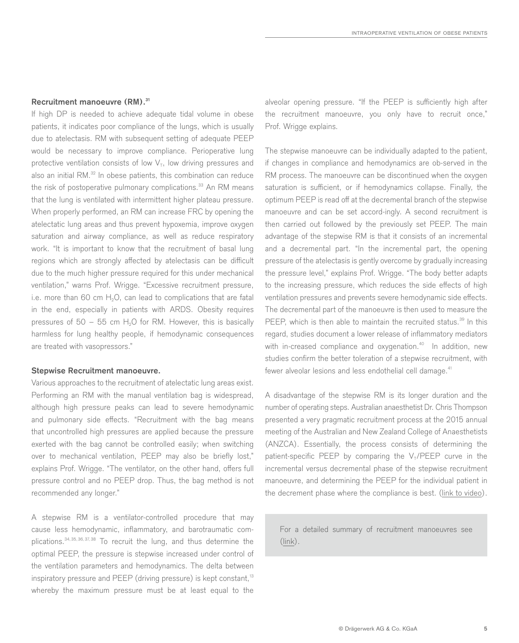#### **Recruitment manoeuvre (RM).31**

If high DP is needed to achieve adequate tidal volume in obese patients, it indicates poor compliance of the lungs, which is usually due to atelectasis. RM with subsequent setting of adequate PEEP would be necessary to improve compliance. Perioperative lung protective ventilation consists of low  $V<sub>T</sub>$ , low driving pressures and also an initial RM.<sup>32</sup> In obese patients, this combination can reduce the risk of postoperative pulmonary complications.<sup>33</sup> An RM means that the lung is ventilated with intermittent higher plateau pressure. When properly performed, an RM can increase FRC by opening the atelectatic lung areas and thus prevent hypoxemia, improve oxygen saturation and airway compliance, as well as reduce respiratory work. "It is important to know that the recruitment of basal lung regions which are strongly affected by atelectasis can be difficult due to the much higher pressure required for this under mechanical ventilation," warns Prof. Wrigge. "Excessive recruitment pressure, i.e. more than 60 cm  $H_2O$ , can lead to complications that are fatal in the end, especially in patients with ARDS. Obesity requires pressures of  $50 - 55$  cm H<sub>2</sub>O for RM. However, this is basically harmless for lung healthy people, if hemodynamic consequences are treated with vasopressors."

#### **Stepwise Recruitment manoeuvre.**

Various approaches to the recruitment of atelectatic lung areas exist. Performing an RM with the manual ventilation bag is widespread, although high pressure peaks can lead to severe hemodynamic and pulmonary side effects. "Recruitment with the bag means that uncontrolled high pressures are applied because the pressure exerted with the bag cannot be controlled easily; when switching over to mechanical ventilation, PEEP may also be briefly lost," explains Prof. Wrigge. "The ventilator, on the other hand, offers full pressure control and no PEEP drop. Thus, the bag method is not recommended any longer."

A stepwise RM is a ventilator-controlled procedure that may cause less hemodynamic, inflammatory, and barotraumatic complications.34, 35, 36, 37, 38 To recruit the lung, and thus determine the optimal PEEP, the pressure is stepwise increased under control of the ventilation parameters and hemodynamics. The delta between inspiratory pressure and PEEP (driving pressure) is kept constant,<sup>13</sup> whereby the maximum pressure must be at least equal to the

alveolar opening pressure. "If the PEEP is sufficiently high after the recruitment manoeuvre, you only have to recruit once," Prof. Wrigge explains.

The stepwise manoeuvre can be individually adapted to the patient, if changes in compliance and hemodynamics are ob-served in the RM process. The manoeuvre can be discontinued when the oxygen saturation is sufficient, or if hemodynamics collapse. Finally, the optimum PEEP is read off at the decremental branch of the stepwise manoeuvre and can be set accord-ingly. A second recruitment is then carried out followed by the previously set PEEP. The main advantage of the stepwise RM is that it consists of an incremental and a decremental part. "In the incremental part, the opening pressure of the atelectasis is gently overcome by gradually increasing the pressure level," explains Prof. Wrigge. "The body better adapts to the increasing pressure, which reduces the side effects of high ventilation pressures and prevents severe hemodynamic side effects. The decremental part of the manoeuvre is then used to measure the PEEP, which is then able to maintain the recruited status.<sup>39</sup> In this regard, studies document a lower release of inflammatory mediators with in-creased compliance and oxygenation.<sup>40</sup> In addition, new studies confirm the better toleration of a stepwise recruitment, with fewer alveolar lesions and less endothelial cell damage.<sup>41</sup>

A disadvantage of the stepwise RM is its longer duration and the number of operating steps. Australian anaesthetist Dr. Chris Thompson presented a very pragmatic recruitment process at the 2015 annual meeting of the Australian and New Zealand College of Anaesthetists (ANZCA). Essentially, the process consists of determining the patient-specific PEEP by comparing the  $V<sub>T</sub>/PEEP$  curve in the incremental versus decremental phase of the stepwise recruitment manoeuvre, and determining the PEEP for the individual patient in the decrement phase where the compliance is best. [\(link to video\)](https://www.youtube.com/watch?v=sU7sgTH2seA).

For a detailed summary of recruitment manoeuvres see ([link\)](https://www.draeger.com/en_uk/Hospital/Insights-to-Solutions/Protective-Ventilation/Lung-Recruitment).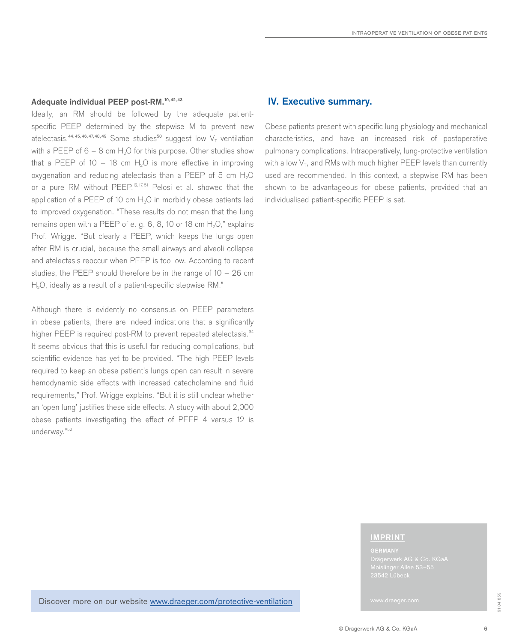### **Adequate individual PEEP post-RM.10, 42, 43**

Ideally, an RM should be followed by the adequate patientspecific PEEP determined by the stepwise M to prevent new atelectasis.<sup>44,45,46,47,48,49</sup> Some studies<sup>50</sup> suggest low  $V<sub>T</sub>$  ventilation with a PEEP of  $6 - 8$  cm H<sub>2</sub>O for this purpose. Other studies show that a PEEP of 10 – 18 cm  $H_2O$  is more effective in improving oxygenation and reducing atelectasis than a PEEP of  $5 \text{ cm H}_2\text{O}$ or a pure RM without PEEP.<sup>12, 17, 51</sup> Pelosi et al. showed that the application of a PEEP of 10 cm  $H<sub>2</sub>O$  in morbidly obese patients led to improved oxygenation. "These results do not mean that the lung remains open with a PEEP of e. g.  $6, 8, 10$  or  $18 \text{ cm H}_2\text{O}$ ," explains Prof. Wrigge. "But clearly a PEEP, which keeps the lungs open after RM is crucial, because the small airways and alveoli collapse and atelectasis reoccur when PEEP is too low. According to recent studies, the PEEP should therefore be in the range of 10 – 26 cm H<sub>2</sub>O, ideally as a result of a patient-specific stepwise RM."

Although there is evidently no consensus on PEEP parameters in obese patients, there are indeed indications that a significantly higher PEEP is required post-RM to prevent repeated atelectasis.<sup>34</sup> It seems obvious that this is useful for reducing complications, but scientific evidence has yet to be provided. "The high PEEP levels required to keep an obese patient's lungs open can result in severe hemodynamic side effects with increased catecholamine and fluid requirements," Prof. Wrigge explains. "But it is still unclear whether an 'open lung' justifies these side effects. A study with about 2,000 obese patients investigating the effect of PEEP 4 versus 12 is underway."52

### **IV. Executive summary.**

Obese patients present with specific lung physiology and mechanical characteristics, and have an increased risk of postoperative pulmonary complications. Intraoperatively, lung-protective ventilation with a low  $V<sub>T</sub>$ , and RMs with much higher PEEP levels than currently used are recommended. In this context, a stepwise RM has been shown to be advantageous for obese patients, provided that an individualised patient-specific PEEP is set.

#### **IMPRINT**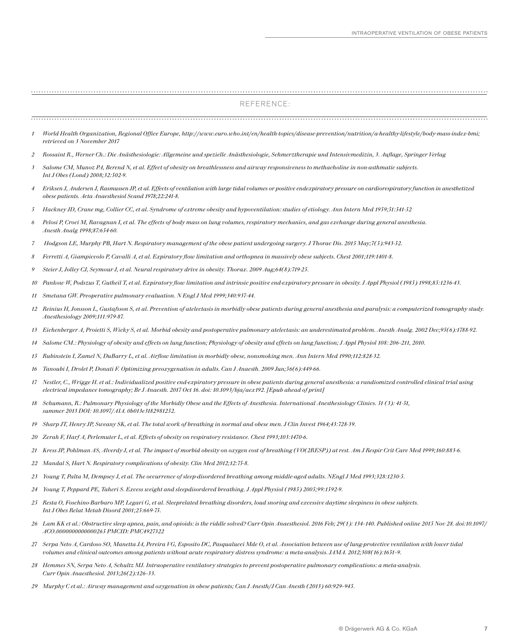#### REFERENCE:

| 1  | World Health Organization, Regional Office Europe, http://www.euro.who.int/en/health-topics/disease-prevention/nutrition/a-healthy-lifestyle/body-mass-index-bmi;<br>retrieved on 3 November 2017                                                                                                            |
|----|--------------------------------------------------------------------------------------------------------------------------------------------------------------------------------------------------------------------------------------------------------------------------------------------------------------|
| 2  | Rossaint R., Werner Ch.: Die Anästhesiologie: Allgemeine und spezielle Anästhesiologie, Schmerztherapie und Intensivmedizin, 3. Auflage, Springer Verlag                                                                                                                                                     |
| 3  | Salome CM, Munoz PA, Berend N, et al. Effect of obesity on breathlessness and airway responsiveness to methacholine in non-asthmatic subjects.<br>Int J Obes (Lond) 2008;32:502-9.                                                                                                                           |
| 4  | Eriksen J, Andersen J, Rasmussen JP, et al. Effects of ventilation with large tidal volumes or positive endexpiratory pressure on cardiorespiratory function in anesthetized<br>obese patients. Acta Anaesthesiol Scand 1978;22:241-8.                                                                       |
| 5  | Hackney JD, Crane mg, Collier CC, et al. Syndrome of extreme obesity and hypoventilation: studies of etiology. Ann Intern Med 1959;51:541-52                                                                                                                                                                 |
| 6  | Pelosi P, Croci M, Ravagnan I, et al. The effects of body mass on lung volumes, respiratory mechanics, and gas exchange during general anesthesia.<br>Anesth Analg 1998;87:654-60.                                                                                                                           |
| 7  | Hodgson LE, Murphy PB, Hart N. Respiratory management of the obese patient undergoing surgery. J Thorac Dis. 2015 May;7(5):943-52.                                                                                                                                                                           |
| 8  | Ferretti A, Giampiccolo P, Cavalli A, et al. Expiratory flow limitation and orthopnea in massively obese subjects. Chest 2001;119:1401-8.                                                                                                                                                                    |
| 9  | Steier J, Jolley CJ, Seymour J, et al. Neural respiratory drive in obesity. Thorax. 2009 Aug;64(8):719-25.                                                                                                                                                                                                   |
| 10 | Pankow W, Podszus T, Gutheil T, et al. Expiratory flow limitation and intrinsic positive end-expiratory pressure in obesity. J Appl Physiol (1985) 1998;85:1236-43.                                                                                                                                          |
| 11 | Smetana GW. Preoperative pulmonary evaluation. N Engl J Med 1999;340:937-44.                                                                                                                                                                                                                                 |
|    | 12 Reinius H, Jonsson L, Gustafsson S, et al. Prevention of atelectasis in morbidly obese patients during general anesthesia and paralysis: a computerized tomography study.<br>Anesthesiology 2009;111:979-87.                                                                                              |
|    | 13 Eichenberger A, Proietti S, Wicky S, et al. Morbid obesity and postoperative pulmonary atelectasis: an underestimated problem. Anesth Analg. 2002 Dec;95(6):1788-92.                                                                                                                                      |
| 14 | Salome CM.: Physiology of obesity and effects on lung function; Physiology of obesity and effects on lung function; J Appl Physiol 108: 206-211, 2010.                                                                                                                                                       |
|    | 15 Rubinstein I, Zamel N, DuBarry L, et al. Airflow limitation in morbidly obese, nonsmoking men. Ann Intern Med 1990;112:828-32.                                                                                                                                                                            |
| 16 | Tanoubi I, Drolet P, Donati F. Optimizing preoxygenation in adults. Can J Anaesth. 2009 Jun;56(6):449-66.                                                                                                                                                                                                    |
|    | 17 Nestler, C., Wrigge H. et al.: Individualized positive end expiratory pressure in obese patients during general anesthesia: a randiomized controlled clinical trial using<br>electrical impedance tomography; Br J Anaesth. 2017 Oct 16. doi: 10.1093/bja/aex192. [Epub ahead of print]                   |
|    | 18 Schumann, R.: Pulmonary Physiology of the Morbidly Obese and the Effects of Anesthesia. International Anesthesiology Clinics. 51 (3): 41-51,<br>summer 2013 DOI: 10.1097/AIA. 0b013e3182981252.                                                                                                           |
| 19 | Sharp JT, Henry JP, Sweany SK, et al. The total work of breathing in normal and obese men. J Clin Invest 1964;43:728-39.                                                                                                                                                                                     |
| 20 | Zerah F, Harf A, Perlemuter L, et al. Effects of obesity on respiratory resistance. Chest 1993;103:1470-6.                                                                                                                                                                                                   |
| 21 | Kress JP, Pohlman AS, Alverdy J, et al. The impact of morbid obesity on oxygen cost of breathing (VO(2RESP)) at rest. Am J Respir Crit Care Med 1999;160:883-6.                                                                                                                                              |
| 22 | Mandal S, Hart N. Respiratory complications of obesity. Clin Med 2012;12:75-8.                                                                                                                                                                                                                               |
| 23 | Young T, Palta M, Dempsey J, et al. The occurrence of sleep-disordered breathing among middle-aged adults. NEngl J Med 1993;328:1230-5.                                                                                                                                                                      |
| 24 | Young T, Peppard PE, Taheri S. Excess weight and sleepdisordered breathing. J Appl Physiol (1985) 2005;99:1592-9.                                                                                                                                                                                            |
|    | 25 Resta O, Foschino-Barbaro MP, Legari G, et al. Sleeprelated breathing disorders, loud snoring and excessive daytime sleepiness in obese subjects.<br>Int J Obes Relat Metab Disord 2001;25:669-75.                                                                                                        |
|    | 26 Lam KK et al.: Obstructive sleep apnea, pain, and opioids: is the riddle solved? Curr Opin Anaesthesiol. 2016 Feb; 29(1): 134-140. Published online 2015 Nov 28. doi:10.1097/<br>ACO.0000000000000265 PMCID: PMC4927322                                                                                   |
|    | 27 Serpa Neto A, Cardoso SO, Manetta JA, Pereira VG, Esposito DC, Pasqualucci Mde O, et al. Association between use of lung-protective ventilation with lower tidal<br>volumes and clinical outcomes among patients without acute respiratory distress syndrome: a meta-analysis. JAMA. 2012;308(16):1651-9. |
|    | 28 Hemmes SN, Serpa Neto A, Schultz MJ. Intraoperative ventilatory strategies to prevent postoperative pulmonary complications: a meta-analysis.<br>Curr Opin Anaesthesiol. 2013;26(2):126-33.                                                                                                               |

*29 Murphy C et al.: Airway management and oxygenation in obese patients; Can J Anesth/J Can Anesth (2013) 60:929–945.*